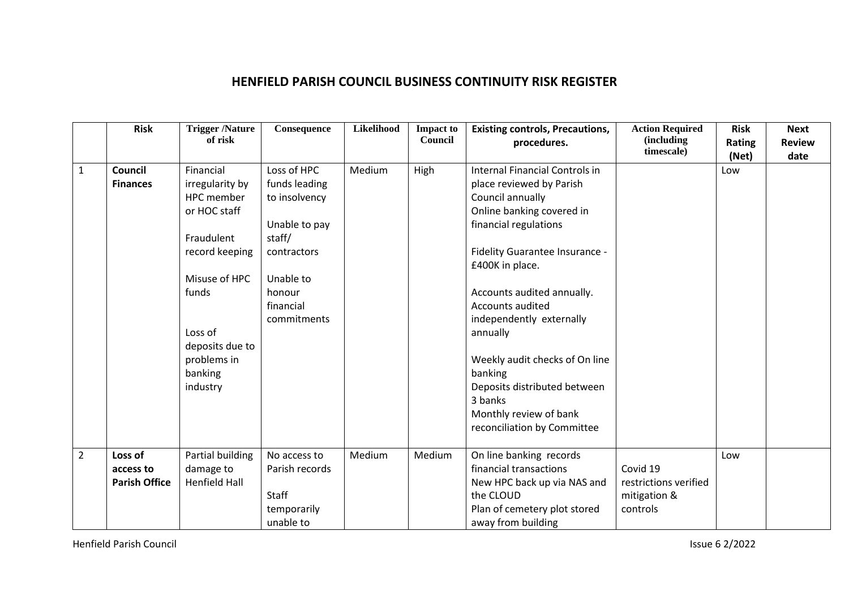## **HENFIELD PARISH COUNCIL BUSINESS CONTINUITY RISK REGISTER**

|                | <b>Risk</b>                                  | <b>Trigger /Nature</b><br>of risk                                                                                                                                                        | Consequence                                                                                                                                | Likelihood | <b>Impact to</b><br>Council | <b>Existing controls, Precautions,</b><br>procedures.                                                                                                                                                                                                                                                                                                                                                                                | <b>Action Required</b><br>(including<br>timescale)            | <b>Risk</b><br>Rating<br>(Net) | <b>Next</b><br><b>Review</b><br>date |
|----------------|----------------------------------------------|------------------------------------------------------------------------------------------------------------------------------------------------------------------------------------------|--------------------------------------------------------------------------------------------------------------------------------------------|------------|-----------------------------|--------------------------------------------------------------------------------------------------------------------------------------------------------------------------------------------------------------------------------------------------------------------------------------------------------------------------------------------------------------------------------------------------------------------------------------|---------------------------------------------------------------|--------------------------------|--------------------------------------|
| $\mathbf{1}$   | Council<br><b>Finances</b>                   | Financial<br>irregularity by<br>HPC member<br>or HOC staff<br>Fraudulent<br>record keeping<br>Misuse of HPC<br>funds<br>Loss of<br>deposits due to<br>problems in<br>banking<br>industry | Loss of HPC<br>funds leading<br>to insolvency<br>Unable to pay<br>staff/<br>contractors<br>Unable to<br>honour<br>financial<br>commitments | Medium     | High                        | Internal Financial Controls in<br>place reviewed by Parish<br>Council annually<br>Online banking covered in<br>financial regulations<br>Fidelity Guarantee Insurance -<br>£400K in place.<br>Accounts audited annually.<br>Accounts audited<br>independently externally<br>annually<br>Weekly audit checks of On line<br>banking<br>Deposits distributed between<br>3 banks<br>Monthly review of bank<br>reconciliation by Committee |                                                               | Low                            |                                      |
|                |                                              |                                                                                                                                                                                          |                                                                                                                                            |            |                             |                                                                                                                                                                                                                                                                                                                                                                                                                                      |                                                               |                                |                                      |
| $\overline{2}$ | Loss of<br>access to<br><b>Parish Office</b> | Partial building<br>damage to<br><b>Henfield Hall</b>                                                                                                                                    | No access to<br>Parish records<br>Staff<br>temporarily<br>unable to                                                                        | Medium     | Medium                      | On line banking records<br>financial transactions<br>New HPC back up via NAS and<br>the CLOUD<br>Plan of cemetery plot stored<br>away from building                                                                                                                                                                                                                                                                                  | Covid 19<br>restrictions verified<br>mitigation &<br>controls | Low                            |                                      |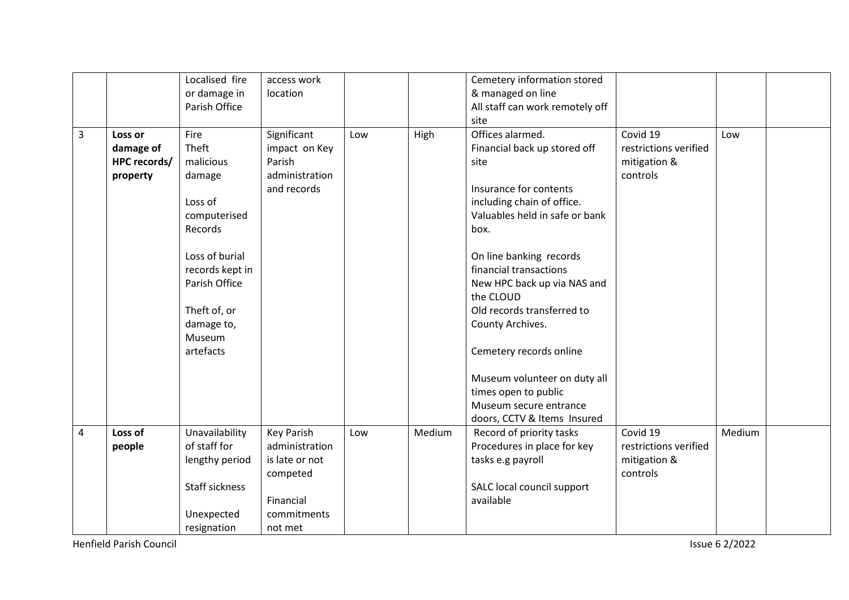|                |              | Localised fire        | access work    |     |        | Cemetery information stored     |                       |        |  |
|----------------|--------------|-----------------------|----------------|-----|--------|---------------------------------|-----------------------|--------|--|
|                |              | or damage in          | location       |     |        | & managed on line               |                       |        |  |
|                |              | Parish Office         |                |     |        | All staff can work remotely off |                       |        |  |
|                |              |                       |                |     |        | site                            |                       |        |  |
| $\overline{3}$ | Loss or      | Fire                  | Significant    | Low | High   | Offices alarmed.                | Covid 19              | Low    |  |
|                | damage of    | Theft                 | impact on Key  |     |        | Financial back up stored off    | restrictions verified |        |  |
|                | HPC records/ | malicious             | Parish         |     |        | site                            | mitigation &          |        |  |
|                | property     | damage                | administration |     |        |                                 | controls              |        |  |
|                |              |                       | and records    |     |        | Insurance for contents          |                       |        |  |
|                |              | Loss of               |                |     |        | including chain of office.      |                       |        |  |
|                |              | computerised          |                |     |        | Valuables held in safe or bank  |                       |        |  |
|                |              | Records               |                |     |        | box.                            |                       |        |  |
|                |              |                       |                |     |        |                                 |                       |        |  |
|                |              | Loss of burial        |                |     |        | On line banking records         |                       |        |  |
|                |              | records kept in       |                |     |        | financial transactions          |                       |        |  |
|                |              | Parish Office         |                |     |        | New HPC back up via NAS and     |                       |        |  |
|                |              |                       |                |     |        | the CLOUD                       |                       |        |  |
|                |              | Theft of, or          |                |     |        | Old records transferred to      |                       |        |  |
|                |              | damage to,            |                |     |        | County Archives.                |                       |        |  |
|                |              | Museum                |                |     |        |                                 |                       |        |  |
|                |              | artefacts             |                |     |        | Cemetery records online         |                       |        |  |
|                |              |                       |                |     |        |                                 |                       |        |  |
|                |              |                       |                |     |        | Museum volunteer on duty all    |                       |        |  |
|                |              |                       |                |     |        | times open to public            |                       |        |  |
|                |              |                       |                |     |        | Museum secure entrance          |                       |        |  |
|                |              |                       |                |     |        | doors, CCTV & Items Insured     |                       |        |  |
| $\overline{4}$ | Loss of      | Unavailability        | Key Parish     | Low | Medium | Record of priority tasks        | Covid 19              | Medium |  |
|                | people       | of staff for          | administration |     |        | Procedures in place for key     | restrictions verified |        |  |
|                |              | lengthy period        | is late or not |     |        | tasks e.g payroll               | mitigation &          |        |  |
|                |              |                       | competed       |     |        |                                 | controls              |        |  |
|                |              | <b>Staff sickness</b> |                |     |        | SALC local council support      |                       |        |  |
|                |              |                       | Financial      |     |        | available                       |                       |        |  |
|                |              | Unexpected            | commitments    |     |        |                                 |                       |        |  |
|                |              | resignation           | not met        |     |        |                                 |                       |        |  |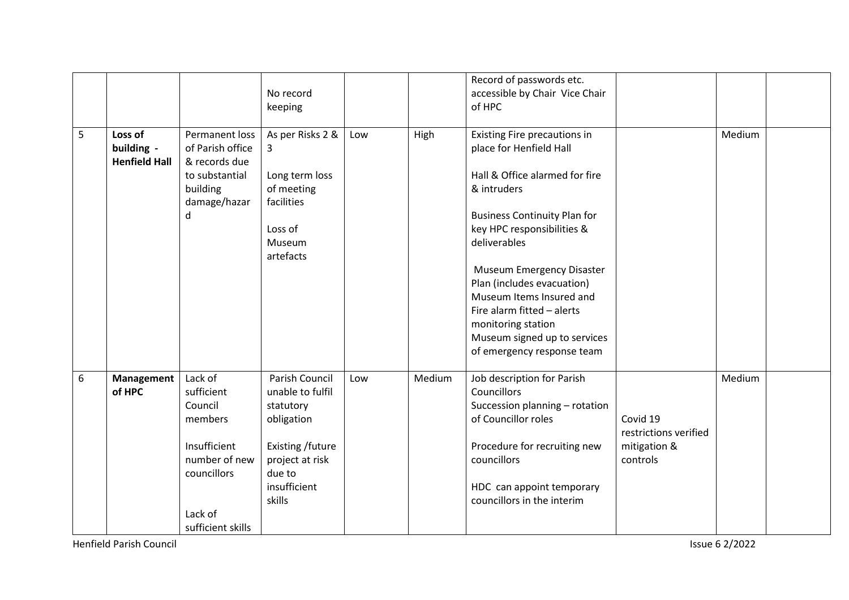|   |                      |                   |                  |     |        | Record of passwords etc.            |                       |        |  |
|---|----------------------|-------------------|------------------|-----|--------|-------------------------------------|-----------------------|--------|--|
|   |                      |                   | No record        |     |        | accessible by Chair Vice Chair      |                       |        |  |
|   |                      |                   | keeping          |     |        | of HPC                              |                       |        |  |
|   |                      |                   |                  |     |        |                                     |                       |        |  |
| 5 | Loss of              | Permanent loss    | As per Risks 2 & | Low | High   | Existing Fire precautions in        |                       | Medium |  |
|   | building -           | of Parish office  | 3                |     |        | place for Henfield Hall             |                       |        |  |
|   | <b>Henfield Hall</b> | & records due     |                  |     |        |                                     |                       |        |  |
|   |                      | to substantial    | Long term loss   |     |        | Hall & Office alarmed for fire      |                       |        |  |
|   |                      | building          | of meeting       |     |        | & intruders                         |                       |        |  |
|   |                      | damage/hazar      | facilities       |     |        |                                     |                       |        |  |
|   |                      | d                 |                  |     |        | <b>Business Continuity Plan for</b> |                       |        |  |
|   |                      |                   | Loss of          |     |        | key HPC responsibilities &          |                       |        |  |
|   |                      |                   | Museum           |     |        | deliverables                        |                       |        |  |
|   |                      |                   | artefacts        |     |        |                                     |                       |        |  |
|   |                      |                   |                  |     |        | <b>Museum Emergency Disaster</b>    |                       |        |  |
|   |                      |                   |                  |     |        | Plan (includes evacuation)          |                       |        |  |
|   |                      |                   |                  |     |        | Museum Items Insured and            |                       |        |  |
|   |                      |                   |                  |     |        | Fire alarm fitted - alerts          |                       |        |  |
|   |                      |                   |                  |     |        | monitoring station                  |                       |        |  |
|   |                      |                   |                  |     |        | Museum signed up to services        |                       |        |  |
|   |                      |                   |                  |     |        | of emergency response team          |                       |        |  |
|   |                      |                   |                  |     |        |                                     |                       |        |  |
| 6 | <b>Management</b>    | Lack of           | Parish Council   | Low | Medium | Job description for Parish          |                       | Medium |  |
|   | of HPC               | sufficient        | unable to fulfil |     |        | Councillors                         |                       |        |  |
|   |                      | Council           | statutory        |     |        | Succession planning - rotation      |                       |        |  |
|   |                      | members           | obligation       |     |        | of Councillor roles                 | Covid 19              |        |  |
|   |                      |                   |                  |     |        |                                     | restrictions verified |        |  |
|   |                      | Insufficient      | Existing /future |     |        | Procedure for recruiting new        | mitigation &          |        |  |
|   |                      | number of new     | project at risk  |     |        | councillors                         | controls              |        |  |
|   |                      | councillors       | due to           |     |        |                                     |                       |        |  |
|   |                      |                   | insufficient     |     |        | HDC can appoint temporary           |                       |        |  |
|   |                      |                   | skills           |     |        | councillors in the interim          |                       |        |  |
|   |                      | Lack of           |                  |     |        |                                     |                       |        |  |
|   |                      | sufficient skills |                  |     |        |                                     |                       |        |  |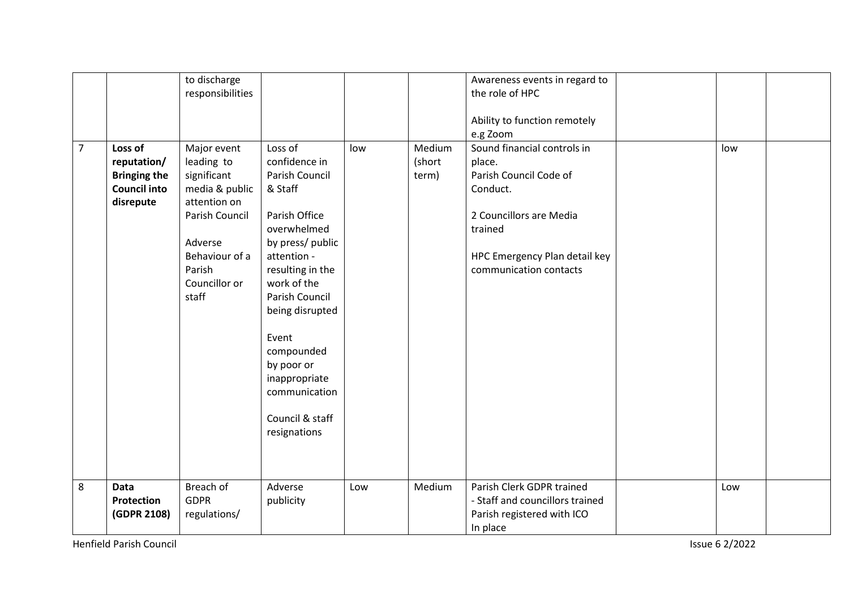| $\overline{7}$ | Loss of                                                                | to discharge<br>responsibilities<br>Major event                                                                                                | Loss of                                                                                                                                                                                                                                                                                         | low | Medium          | Awareness events in regard to<br>the role of HPC<br>Ability to function remotely<br>e.g Zoom<br>Sound financial controls in                   | low |  |
|----------------|------------------------------------------------------------------------|------------------------------------------------------------------------------------------------------------------------------------------------|-------------------------------------------------------------------------------------------------------------------------------------------------------------------------------------------------------------------------------------------------------------------------------------------------|-----|-----------------|-----------------------------------------------------------------------------------------------------------------------------------------------|-----|--|
|                | reputation/<br><b>Bringing the</b><br><b>Council into</b><br>disrepute | leading to<br>significant<br>media & public<br>attention on<br>Parish Council<br>Adverse<br>Behaviour of a<br>Parish<br>Councillor or<br>staff | confidence in<br>Parish Council<br>& Staff<br>Parish Office<br>overwhelmed<br>by press/ public<br>attention -<br>resulting in the<br>work of the<br>Parish Council<br>being disrupted<br>Event<br>compounded<br>by poor or<br>inappropriate<br>communication<br>Council & staff<br>resignations |     | (short<br>term) | place.<br>Parish Council Code of<br>Conduct.<br>2 Councillors are Media<br>trained<br>HPC Emergency Plan detail key<br>communication contacts |     |  |
| 8              | Data<br>Protection<br>(GDPR 2108)                                      | Breach of<br><b>GDPR</b><br>regulations/                                                                                                       | Adverse<br>publicity                                                                                                                                                                                                                                                                            | Low | Medium          | Parish Clerk GDPR trained<br>- Staff and councillors trained<br>Parish registered with ICO<br>In place                                        | Low |  |